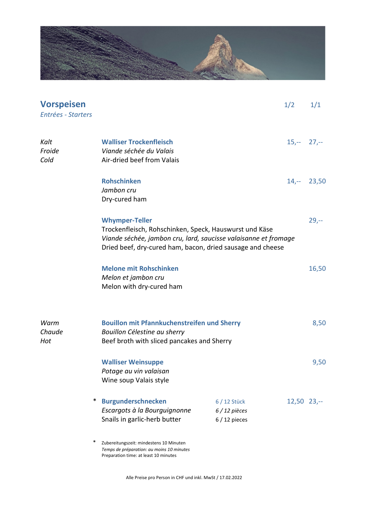

| <b>Vorspeisen</b><br>Entrées - Starters |                                                                                                                                                                                                                  |                                                | 1/2            | 1/1    |
|-----------------------------------------|------------------------------------------------------------------------------------------------------------------------------------------------------------------------------------------------------------------|------------------------------------------------|----------------|--------|
| Kalt<br>Froide<br>Cold                  | <b>Walliser Trockenfleisch</b><br>Viande séchée du Valais<br>Air-dried beef from Valais                                                                                                                          |                                                | $15,-27,-$     |        |
|                                         | <b>Rohschinken</b><br>Jambon cru<br>Dry-cured ham                                                                                                                                                                |                                                | $14,-$ 23,50   |        |
|                                         | <b>Whymper-Teller</b><br>Trockenfleisch, Rohschinken, Speck, Hauswurst und Käse<br>Viande séchée, jambon cru, lard, saucisse valaisanne et fromage<br>Dried beef, dry-cured ham, bacon, dried sausage and cheese |                                                |                | $29,-$ |
|                                         | <b>Melone mit Rohschinken</b><br>Melon et jambon cru<br>Melon with dry-cured ham                                                                                                                                 |                                                |                | 16,50  |
| Warm<br>Chaude<br>Hot                   | <b>Bouillon mit Pfannkuchenstreifen und Sherry</b><br>Bouillon Célestine au sherry<br>Beef broth with sliced pancakes and Sherry                                                                                 |                                                |                | 8,50   |
|                                         | <b>Walliser Weinsuppe</b><br>Potage au vin valaisan<br>Wine soup Valais style                                                                                                                                    |                                                |                | 9,50   |
| ∗                                       | <b>Burgunderschnecken</b><br>Escargots à la Bourguignonne<br>Snails in garlic-herb butter                                                                                                                        | 6 / 12 Stück<br>$6/12$ pièces<br>$6/12$ pieces | $12,50$ $23,-$ |        |
| ∗                                       | Zubereitungszeit: mindestens 10 Minuten<br>Temps de préparation: au moins 10 minutes<br>Preparation time: at least 10 minutes                                                                                    |                                                |                |        |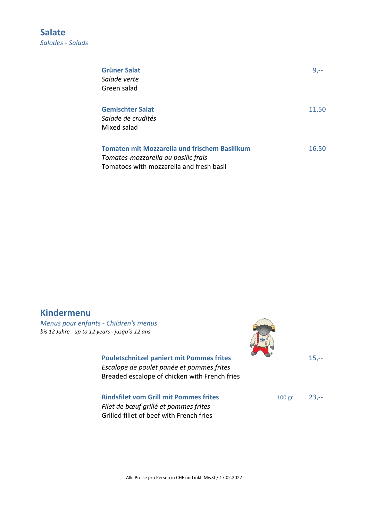**Salate**  *Salades - Salads* 

| <b>Grüner Salat</b>                                  | $9, -$ |
|------------------------------------------------------|--------|
| Salade verte                                         |        |
| Green salad                                          |        |
| <b>Gemischter Salat</b>                              | 11,50  |
| Salade de crudités                                   |        |
| Mixed salad                                          |        |
| <b>Tomaten mit Mozzarella und frischem Basilikum</b> | 16,50  |
| Tomates-mozzarella au basilic frais                  |        |
| Tomatoes with mozzarella and fresh basil             |        |

## **Kindermenu**

*Menus pour enfants - Children's menus bis 12 Jahre - up to 12 years - jusqu'à 12 ans* 

> **Pouletschnitzel paniert mit Pommes frites** 15,--*Escalope de poulet panée et pommes frites* Breaded escalope of chicken with French fries

> **Rindsfilet vom Grill mit Pommes frites** 100 gr. 23,--*Filet de bœuf grillé et pommes frites*

Grilled fillet of beef with French fries

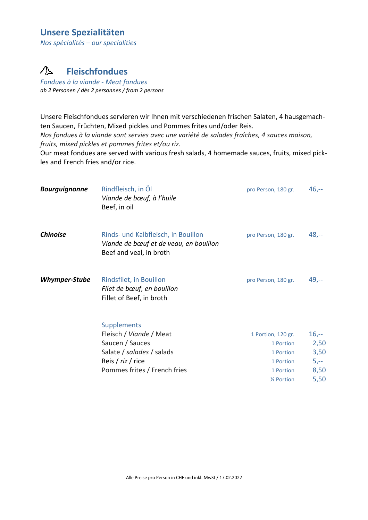## **Unsere Spezialitäten**

*Nos spécialités – our specialities* 

#### $\triangle$ **Fleischfondues**

*Fondues à la viande - Meat fondues ab 2 Personen / dès 2 personnes / from 2 persons*

Unsere Fleischfondues servieren wir Ihnen mit verschiedenen frischen Salaten, 4 hausgemachten Saucen, Früchten, Mixed pickles und Pommes frites und/oder Reis.

*Nos fondues à la viande sont servies avec une variété de salades fraîches, 4 sauces maison, fruits, mixed pickles et pommes frites et/ou riz.* 

Our meat fondues are served with various fresh salads, 4 homemade sauces, fruits, mixed pickles and French fries and/or rice.

| <b>Bourguignonne</b> | Rindfleisch, in Öl<br>Viande de bœuf, à l'huile<br>Beef, in oil                                                                                    | pro Person, 180 gr.                                                                             | $46,-$                                          |
|----------------------|----------------------------------------------------------------------------------------------------------------------------------------------------|-------------------------------------------------------------------------------------------------|-------------------------------------------------|
| <b>Chinoise</b>      | Rinds- und Kalbfleisch, in Bouillon<br>Viande de bœuf et de veau, en bouillon<br>Beef and veal, in broth                                           | pro Person, 180 gr.                                                                             | $48,-$                                          |
| Whymper-Stube        | Rindsfilet, in Bouillon<br>Filet de bœuf, en bouillon<br>Fillet of Beef, in broth                                                                  | pro Person, 180 gr.                                                                             | $49,-$                                          |
|                      | <b>Supplements</b><br>Fleisch / Viande / Meat<br>Saucen / Sauces<br>Salate / salades / salads<br>Reis / riz / rice<br>Pommes frites / French fries | 1 Portion, 120 gr.<br>1 Portion<br>1 Portion<br>1 Portion<br>1 Portion<br>$\frac{1}{2}$ Portion | $16,-$<br>2,50<br>3,50<br>$5,-$<br>8,50<br>5,50 |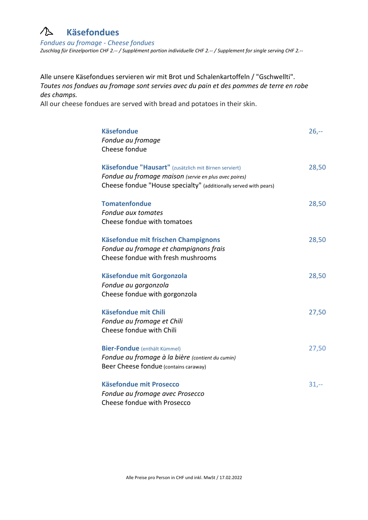#### **Käsefondues**   $\bigwedge$

*Fondues au fromage - Cheese fondues Zuschlag für Einzelportion CHF 2.-- / Supplément portion individuelle CHF 2.-- / Supplement for single serving CHF 2.--* 

Alle unsere Käsefondues servieren wir mit Brot und Schalenkartoffeln / "Gschwellti". *Toutes nos fondues au fromage sont servies avec du pain et des pommes de terre en robe des champs.*

All our cheese fondues are served with bread and potatoes in their skin.

| <b>Käsefondue</b>                                                | $26,-$ |
|------------------------------------------------------------------|--------|
| Fondue au fromage                                                |        |
| Cheese fondue                                                    |        |
| Käsefondue "Hausart" (zusätzlich mit Birnen serviert)            | 28,50  |
| Fondue au fromage maison (servie en plus avec poires)            |        |
| Cheese fondue "House specialty" (additionally served with pears) |        |
|                                                                  |        |
| <b>Tomatenfondue</b>                                             | 28,50  |
| Fondue aux tomates                                               |        |
| Cheese fondue with tomatoes                                      |        |
| Käsefondue mit frischen Champignons                              | 28,50  |
| Fondue au fromage et champignons frais                           |        |
| Cheese fondue with fresh mushrooms                               |        |
|                                                                  |        |
| Käsefondue mit Gorgonzola                                        | 28,50  |
| Fondue au gorgonzola                                             |        |
| Cheese fondue with gorgonzola                                    |        |
| <b>Käsefondue mit Chili</b>                                      | 27,50  |
| Fondue au fromage et Chili                                       |        |
| Cheese fondue with Chili                                         |        |
| <b>Bier-Fondue</b> (enthält Kümmel)                              | 27,50  |
| Fondue au fromage à la bière (contient du cumin)                 |        |
| Beer Cheese fondue (contains caraway)                            |        |
|                                                                  |        |
| <b>Käsefondue mit Prosecco</b>                                   | $31,-$ |
| Fondue au fromage avec Prosecco                                  |        |
| Cheese fondue with Prosecco                                      |        |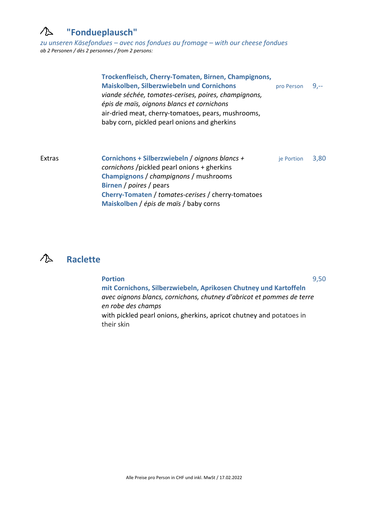#### $\bigwedge$ **"Fondueplausch"**

*zu unseren Käsefondues – avec nos fondues au fromage – with our cheese fondues ab 2 Personen / dès 2 personnes / from 2 persons:* 

**Trockenfleisch, Cherry-Tomaten, Birnen, Champignons, Maiskolben, Silberzwiebeln und Cornichons** pro Person 9,- *viande séchée, tomates-cerises, poires, champignons, épis de maïs, oignons blancs et cornichons* air-dried meat, cherry-tomatoes, pears, mushrooms, baby corn, pickled pearl onions and gherkins Extras **Cornichons + Silberzwiebeln** / *oignons blancs +* je Portion 3,80  *cornichons* /pickled pearl onions + gherkins  **Champignons** / *champignons* / mushrooms **Birnen** / *poires* / pears  **Cherry-Tomaten** / *tomates-cerises* / cherry-tomatoes  **Maiskolben** / *épis de maïs* / baby corns



| <b>Portion</b>                                                                     | 9,50 |
|------------------------------------------------------------------------------------|------|
| mit Cornichons, Silberzwiebeln, Aprikosen Chutney und Kartoffeln                   |      |
| avec oignons blancs, cornichons, chutney d'abricot et pommes de terre              |      |
| en robe des champs                                                                 |      |
| with pickled pearl onions, gherkins, apricot chutney and potatoes in<br>their skin |      |
|                                                                                    |      |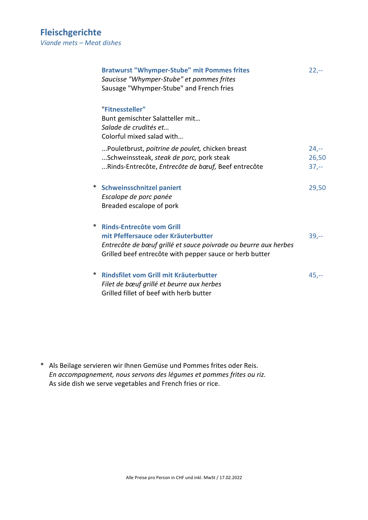| <b>Bratwurst "Whymper-Stube" mit Pommes frites</b><br>Saucisse "Whymper-Stube" et pommes frites<br>Sausage "Whymper-Stube" and French fries                                                                | $22, -$                   |
|------------------------------------------------------------------------------------------------------------------------------------------------------------------------------------------------------------|---------------------------|
| "Fitnessteller"<br>Bunt gemischter Salatteller mit<br>Salade de crudités et<br>Colorful mixed salad with                                                                                                   |                           |
| Pouletbrust, poitrine de poulet, chicken breast<br>Schweinssteak, steak de porc, pork steak<br>Rinds-Entrecôte, Entrecôte de bœuf, Beef entrecôte                                                          | $24,-$<br>26,50<br>$37,-$ |
| <b>Schweinsschnitzel paniert</b><br>$\ast$<br>Escalope de porc panée<br>Breaded escalope of pork                                                                                                           | 29,50                     |
| <b>Rinds-Entrecôte vom Grill</b><br>∗<br>mit Pfeffersauce oder Kräuterbutter<br>Entrecôte de bœuf grillé et sauce poivrade ou beurre aux herbes<br>Grilled beef entrecôte with pepper sauce or herb butter | $39,-$                    |
| ∗<br>Rindsfilet vom Grill mit Kräuterbutter<br>Filet de bœuf grillé et beurre aux herbes<br>Grilled fillet of beef with herb butter                                                                        | $45,-$                    |

\* Als Beilage servieren wir Ihnen Gemüse und Pommes frites oder Reis.  *En accompagnement, nous servons des légumes et pommes frites ou riz.*  As side dish we serve vegetables and French fries or rice.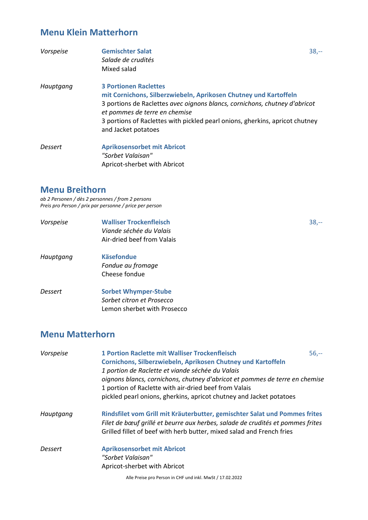# **Menu Klein Matterhorn**

| Vorspeise | <b>Gemischter Salat</b><br>Salade de crudités<br>Mixed salad                                                                                                                                                                                                                                                           | $38,-$ |
|-----------|------------------------------------------------------------------------------------------------------------------------------------------------------------------------------------------------------------------------------------------------------------------------------------------------------------------------|--------|
| Hauptgang | <b>3 Portionen Raclettes</b><br>mit Cornichons, Silberzwiebeln, Aprikosen Chutney und Kartoffeln<br>3 portions de Raclettes avec oignons blancs, cornichons, chutney d'abricot<br>et pommes de terre en chemise<br>3 portions of Raclettes with pickled pearl onions, gherkins, apricot chutney<br>and Jacket potatoes |        |
| Dessert   | <b>Aprikosensorbet mit Abricot</b><br>"Sorbet Valaisan"<br>Apricot-sherbet with Abricot                                                                                                                                                                                                                                |        |

### **Menu Breithorn**

*ab 2 Personen / dès 2 personnes / from 2 persons Preis pro Person / prix par personne / price per person* 

| Vorspeise | <b>Walliser Trockenfleisch</b><br>Viande séchée du Valais<br>Air-dried beef from Valais | $38,-$ |
|-----------|-----------------------------------------------------------------------------------------|--------|
| Hauptgang | <b>Käsefondue</b><br>Fondue au fromage<br>Cheese fondue                                 |        |
| Dessert   | <b>Sorbet Whymper-Stube</b><br>Sorbet citron et Prosecco<br>Lemon sherbet with Prosecco |        |

# **Menu Matterhorn**

| Vorspeise | <b>1 Portion Raclette mit Walliser Trockenfleisch</b>                          | $56,-$ |  |
|-----------|--------------------------------------------------------------------------------|--------|--|
|           | Cornichons, Silberzwiebeln, Aprikosen Chutney und Kartoffeln                   |        |  |
|           | 1 portion de Raclette et viande séchée du Valais                               |        |  |
|           | oignons blancs, cornichons, chutney d'abricot et pommes de terre en chemise    |        |  |
|           | 1 portion of Raclette with air-dried beef from Valais                          |        |  |
|           | pickled pearl onions, gherkins, apricot chutney and Jacket potatoes            |        |  |
| Hauptgang | Rindsfilet vom Grill mit Kräuterbutter, gemischter Salat und Pommes frites     |        |  |
|           | Filet de bœuf grillé et beurre aux herbes, salade de crudités et pommes frites |        |  |
|           | Grilled fillet of beef with herb butter, mixed salad and French fries          |        |  |
| Dessert   | <b>Aprikosensorbet mit Abricot</b>                                             |        |  |
|           | "Sorbet Valaisan"                                                              |        |  |
|           | Apricot-sherbet with Abricot                                                   |        |  |
|           | Alle Preise pro Person in CHF und inkl. MwSt / 17.02.2022                      |        |  |